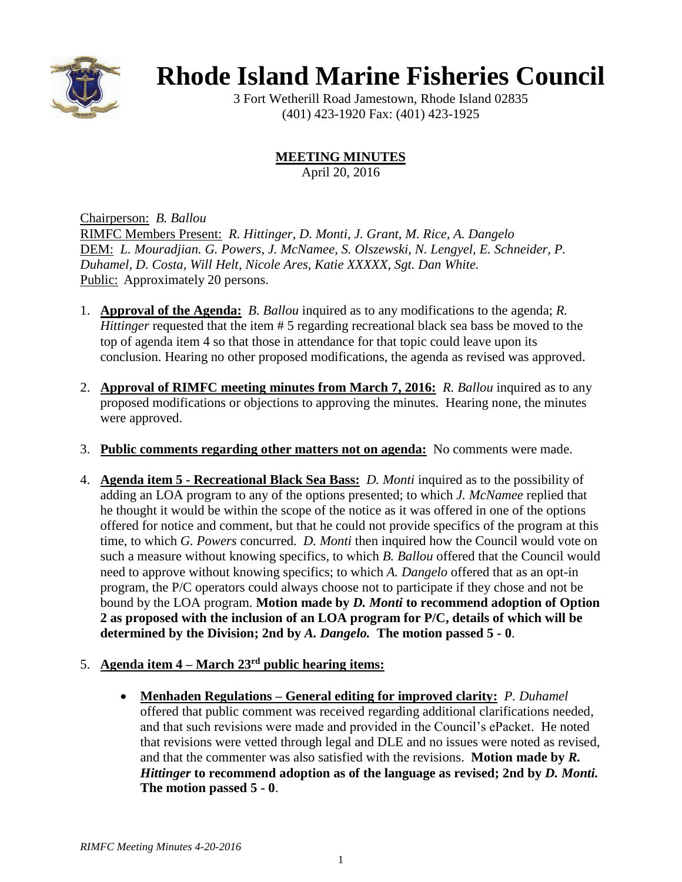

## **Rhode Island Marine Fisheries Council**

3 Fort Wetherill Road Jamestown, Rhode Island 02835 (401) 423-1920 Fax: (401) 423-1925

**MEETING MINUTES**

April 20, 2016

Chairperson: *B. Ballou* RIMFC Members Present: *R. Hittinger, D. Monti, J. Grant, M. Rice, A. Dangelo* DEM: *L. Mouradjian. G. Powers, J. McNamee, S. Olszewski, N. Lengyel, E. Schneider, P. Duhamel, D. Costa, Will Helt, Nicole Ares, Katie XXXXX, Sgt. Dan White.* Public: Approximately 20 persons.

- 1. **Approval of the Agenda:** *B. Ballou* inquired as to any modifications to the agenda; *R. Hittinger* requested that the item # 5 regarding recreational black sea bass be moved to the top of agenda item 4 so that those in attendance for that topic could leave upon its conclusion. Hearing no other proposed modifications, the agenda as revised was approved.
- 2. **Approval of RIMFC meeting minutes from March 7, 2016:** *R. Ballou* inquired as to any proposed modifications or objections to approving the minutes. Hearing none, the minutes were approved.
- 3. **Public comments regarding other matters not on agenda:** No comments were made.
- 4. **Agenda item 5 - Recreational Black Sea Bass:** *D. Monti* inquired as to the possibility of adding an LOA program to any of the options presented; to which *J. McNamee* replied that he thought it would be within the scope of the notice as it was offered in one of the options offered for notice and comment, but that he could not provide specifics of the program at this time, to which *G. Powers* concurred. *D. Monti* then inquired how the Council would vote on such a measure without knowing specifics, to which *B. Ballou* offered that the Council would need to approve without knowing specifics; to which *A. Dangelo* offered that as an opt-in program, the P/C operators could always choose not to participate if they chose and not be bound by the LOA program. **Motion made by** *D. Monti* **to recommend adoption of Option 2 as proposed with the inclusion of an LOA program for P/C, details of which will be determined by the Division; 2nd by** *A. Dangelo.* **The motion passed 5 - 0**.
- 5. **Agenda item 4 – March 23rd public hearing items:**
	- **Menhaden Regulations – General editing for improved clarity:** *P. Duhamel*  offered that public comment was received regarding additional clarifications needed, and that such revisions were made and provided in the Council's ePacket. He noted that revisions were vetted through legal and DLE and no issues were noted as revised, and that the commenter was also satisfied with the revisions. **Motion made by** *R. Hittinger* **to recommend adoption as of the language as revised; 2nd by** *D. Monti.*  **The motion passed 5 - 0**.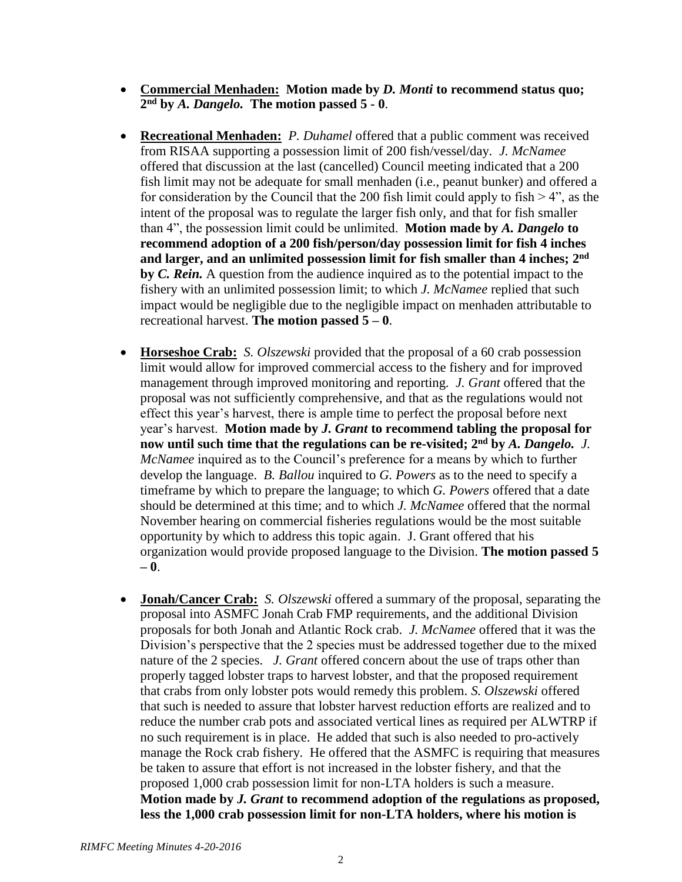- **Commercial Menhaden: Motion made by** *D. Monti* **to recommend status quo; 2 nd by** *A. Dangelo.* **The motion passed 5 - 0**.
- **Recreational Menhaden:** *P. Duhamel* offered that a public comment was received from RISAA supporting a possession limit of 200 fish/vessel/day. *J. McNamee* offered that discussion at the last (cancelled) Council meeting indicated that a 200 fish limit may not be adequate for small menhaden (i.e., peanut bunker) and offered a for consideration by the Council that the 200 fish limit could apply to fish  $> 4$ ", as the intent of the proposal was to regulate the larger fish only, and that for fish smaller than 4", the possession limit could be unlimited. **Motion made by** *A. Dangelo* **to recommend adoption of a 200 fish/person/day possession limit for fish 4 inches and larger, and an unlimited possession limit for fish smaller than 4 inches; 2 nd by** *C. Rein.* A question from the audience inquired as to the potential impact to the fishery with an unlimited possession limit; to which *J. McNamee* replied that such impact would be negligible due to the negligible impact on menhaden attributable to recreational harvest. **The motion passed**  $5 - 0$ .
- **Horseshoe Crab:** *S. Olszewski* provided that the proposal of a 60 crab possession limit would allow for improved commercial access to the fishery and for improved management through improved monitoring and reporting. *J. Grant* offered that the proposal was not sufficiently comprehensive, and that as the regulations would not effect this year's harvest, there is ample time to perfect the proposal before next year's harvest. **Motion made by** *J. Grant* **to recommend tabling the proposal for now until such time that the regulations can be re-visited; 2nd by** *A. Dangelo. J. McNamee* inquired as to the Council's preference for a means by which to further develop the language. *B. Ballou* inquired to *G. Powers* as to the need to specify a timeframe by which to prepare the language; to which *G. Powers* offered that a date should be determined at this time; and to which *J. McNamee* offered that the normal November hearing on commercial fisheries regulations would be the most suitable opportunity by which to address this topic again. J. Grant offered that his organization would provide proposed language to the Division. **The motion passed 5 – 0**.
- **Jonah/Cancer Crab:** *S. Olszewski* offered a summary of the proposal, separating the proposal into ASMFC Jonah Crab FMP requirements, and the additional Division proposals for both Jonah and Atlantic Rock crab. *J. McNamee* offered that it was the Division's perspective that the 2 species must be addressed together due to the mixed nature of the 2 species. *J. Grant* offered concern about the use of traps other than properly tagged lobster traps to harvest lobster, and that the proposed requirement that crabs from only lobster pots would remedy this problem. *S. Olszewski* offered that such is needed to assure that lobster harvest reduction efforts are realized and to reduce the number crab pots and associated vertical lines as required per ALWTRP if no such requirement is in place. He added that such is also needed to pro-actively manage the Rock crab fishery. He offered that the ASMFC is requiring that measures be taken to assure that effort is not increased in the lobster fishery, and that the proposed 1,000 crab possession limit for non-LTA holders is such a measure. **Motion made by** *J. Grant* **to recommend adoption of the regulations as proposed, less the 1,000 crab possession limit for non-LTA holders, where his motion is**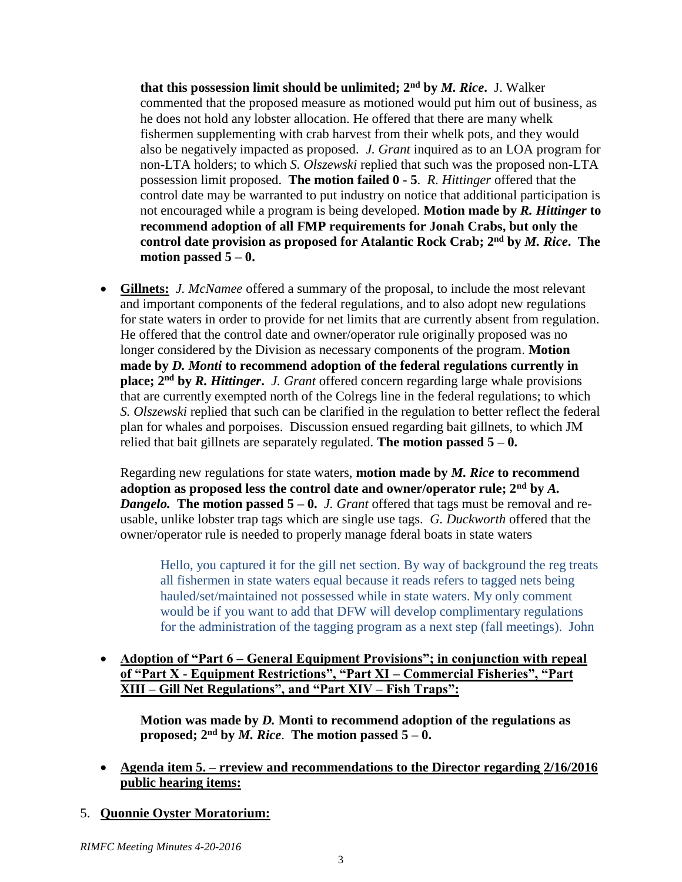**that this possession limit should be unlimited; 2nd by** *M. Rice***.** J. Walker commented that the proposed measure as motioned would put him out of business, as he does not hold any lobster allocation. He offered that there are many whelk fishermen supplementing with crab harvest from their whelk pots, and they would also be negatively impacted as proposed. *J. Grant* inquired as to an LOA program for non-LTA holders; to which *S. Olszewski* replied that such was the proposed non-LTA possession limit proposed. **The motion failed 0 - 5**. *R. Hittinger* offered that the control date may be warranted to put industry on notice that additional participation is not encouraged while a program is being developed. **Motion made by** *R. Hittinger* **to recommend adoption of all FMP requirements for Jonah Crabs, but only the control date provision as proposed for Atalantic Rock Crab; 2nd by** *M. Rice***. The motion passed 5 – 0.**

 **Gillnets:** *J. McNamee* offered a summary of the proposal, to include the most relevant and important components of the federal regulations, and to also adopt new regulations for state waters in order to provide for net limits that are currently absent from regulation. He offered that the control date and owner/operator rule originally proposed was no longer considered by the Division as necessary components of the program. **Motion made by** *D. Monti* **to recommend adoption of the federal regulations currently in place; 2nd by** *R. Hittinger***.** *J. Grant* offered concern regarding large whale provisions that are currently exempted north of the Colregs line in the federal regulations; to which *S. Olszewski* replied that such can be clarified in the regulation to better reflect the federal plan for whales and porpoises. Discussion ensued regarding bait gillnets, to which JM relied that bait gillnets are separately regulated. **The motion passed**  $5 - 0$ **.** 

Regarding new regulations for state waters, **motion made by** *M. Rice* **to recommend adoption as proposed less the control date and owner/operator rule; 2nd by** *A. Dangelo.* **The motion passed 5 – 0.** *J. Grant* offered that tags must be removal and reusable, unlike lobster trap tags which are single use tags. *G. Duckworth* offered that the owner/operator rule is needed to properly manage fderal boats in state waters

Hello, you captured it for the gill net section. By way of background the reg treats all fishermen in state waters equal because it reads refers to tagged nets being hauled/set/maintained not possessed while in state waters. My only comment would be if you want to add that DFW will develop complimentary regulations for the administration of the tagging program as a next step (fall meetings). John

 **Adoption of "Part 6 – General Equipment Provisions"; in conjunction with repeal of "Part X - Equipment Restrictions", "Part XI – Commercial Fisheries", "Part XIII – Gill Net Regulations", and "Part XIV – Fish Traps":**

**Motion was made by** *D.* **Monti to recommend adoption of the regulations as proposed;**  $2^{nd}$  by *M. Rice*. The motion passed  $5-0$ .

- **Agenda item 5. – rreview and recommendations to the Director regarding 2/16/2016 public hearing items:**
- 5. **Quonnie Oyster Moratorium:**